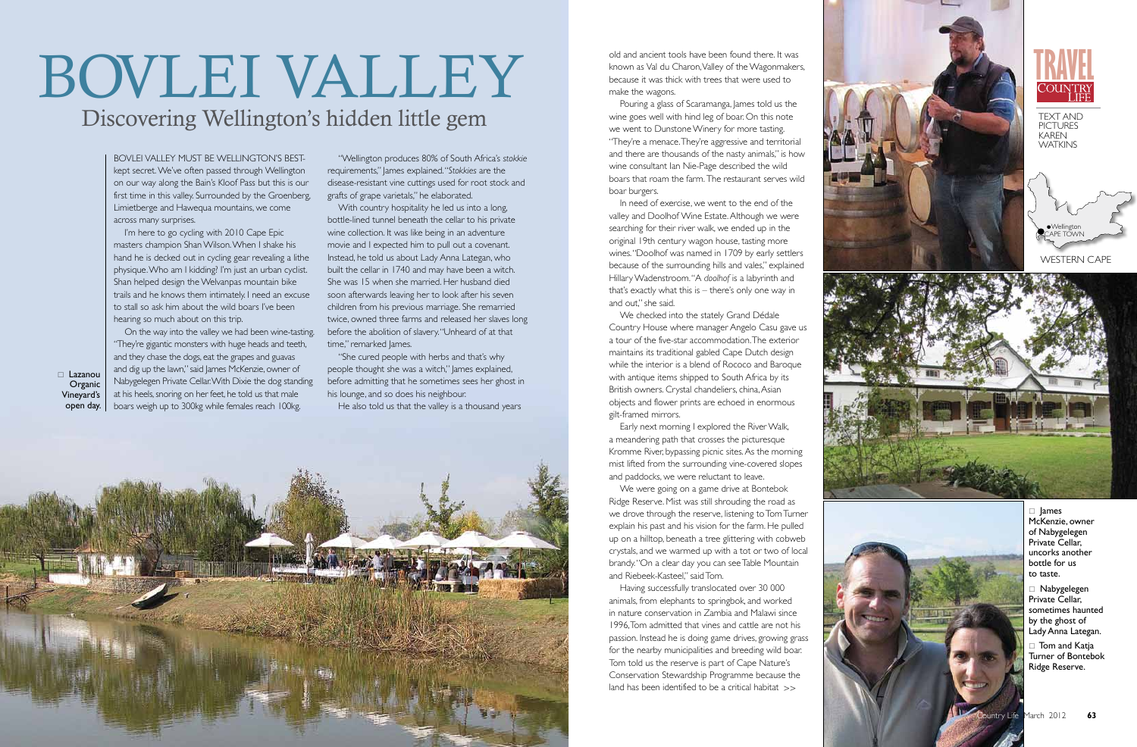

# Discovering Wellington's hidden little gem BOVLEI VALLEY



Bov lei Valley must be Wellington's bestkept secret. We've often passed through Wellington on our way along the Bain's Kloof Pass but this is our first time in this valley. Surrounded by the Groenberg, Limietberge and Hawequa mountains, we come across many surprises.

I'm here to go cycling with 2010 Cape Epic masters champion Shan Wilson. When I shake his hand he is decked out in cycling gear revealing a lithe physique. Who am I kidding? I'm just an urban cyclist. Shan helped design the Welvanpas mountain bike trails and he knows them intimately. I need an excuse to stall so ask him about the wild boars I've been hearing so much about on this trip.

On the way into the valley we had been wine-tasting. "They're gigantic monsters with huge heads and teeth, and they chase the dogs, eat the grapes and guavas and dig up the lawn," said James McKenzie, owner of Nabygelegen Private Cellar. With Dixie the dog standing at his heels, snoring on her feet, he told us that male boars weigh up to 300kg while females reach 100kg.

"Wellington produces 80% of South Africa's *stokkie* requirements," James explained. "*Stokkies* are the disease-resistant vine cuttings used for root stock and grafts of grape varietals," he elaborated.

With country hospitality he led us into a long, bottle-lined tunnel beneath the cellar to his private wine collection. It was like being in an adventure movie and I expected him to pull out a covenant. Instead, he told us about Lady Anna Lategan, who built the cellar in 1740 and may have been a witch. She was 15 when she married. Her husband died soon afterwards leaving her to look after his seven children from his previous marriage. She remarried twice, owned three farms and released her slaves long before the abolition of slavery. " Unheard of at that time," remarked James. "She cured people with herbs and that's why

people thought she was a witch," James explained, before admitting that he sometimes sees her ghost in his lounge, and so does his neighbour.

He also told us that the valley is a thousand years

old and ancient tools have been found there. It was known as Val du Charon, Valley of the Wagonmakers, because it was thick with trees that were used to make the wagons.

 $\Box$  Lazanou **Organic** Vineyard's open day.

> $\Box$  lames McKenzie, owner of Nabygelegen Private Cellar, uncorks another bottle for us to taste.

 $\Box$  Nabygelegen Private Cellar, sometimes haunted by the ghost of Lady Anna Lategan.

 $\Box$  Tom and Katja Turner of Bontebok Ridge Reserve.

Pouring a glass of Scaramanga, James told us the wine goes well with hind leg of boar. On this note we went to Dunstone Winery for more tasting. "They're a menace. They're aggressive and territorial and there are thousands of the nasty animals," is how wine consultant Ian Nie-Page described the wild boars that roam the farm. The restaurant serves wild boar burgers.

In need of exercise, we went to the end of the valley and Doolhof Wine Estate. Although we were searching for their river walk, we ended up in the original 19th century wagon house, tasting more wines. "Doolhof was named in 1709 by early settlers because of the surrounding hills and vales," explained Hillary Wadenstroom. " A *doolhof* is a labyrinth and that's exactly what this is – there's only one way in and out," she said.

We checked into the stately Grand Dédale Country House where manager Angelo Casu gave us a tour of the five-star accommodation. The exterior maintains its traditional gabled Cape Dutch design while the interior is a blend of Rococo and Baroque with antique items shipped to South Africa by its British owners. Crystal chandeliers, china, Asian objects and flower prints are echoed in enormous

gilt-framed mirrors. Early next morning I explored the River Walk, a meandering path that crosses the picturesque Kromme River, bypassing picnic sites. As the morning mist lifted from the surrounding vine-covered slopes and paddocks, we were reluctant to leave.

We were going on a game drive at Bontebok Ridge Reserve. Mist was still shrouding the road as we drove through the reserve, listening to Tom Turner explain his past and his vision for the farm. He pulled up on a hilltop, beneath a tree glittering with cobweb crystals, and we warmed up with a tot or two of local brandy. " On a clear day you can see Table Mountain and Riebeek-Kasteel," said Tom.

Having successfully translocated over 30 000 animals, from elephants to springbok, and worked in nature conservation in Zambia and Malawi since 1996, Tom admitted that vines and cattle are not his passion. Instead he is doing game drives, growing grass for the nearby municipalities and breeding wild boar. Tom told us the reserve is part of Cape Nature's Conservation Stewardship Programme because the land has been identified to be a critical habitat >>







P E



Text an d **PICTURES** Ka ren Wat kins